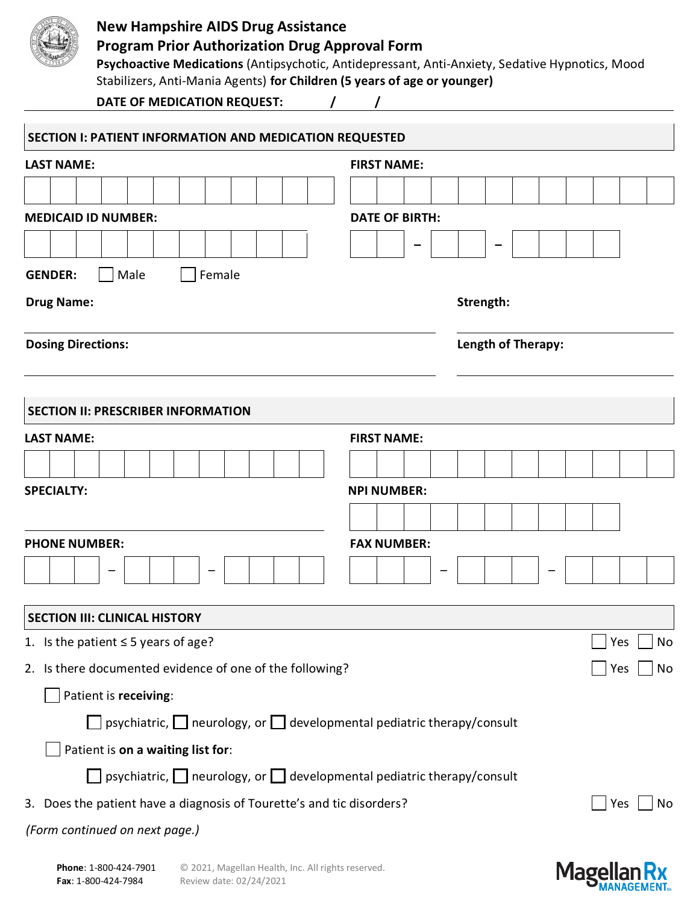

### **New Hampshire AIDS Drug Assistance**

# **Program Prior Authorization Drug Approval Form**

**Psychoactive Medications** (Antipsychotic, Antidepressant, Anti-Anxiety, Sedative Hypnotics, Mood Stabilizers, Anti-Mania Agents) **for Children (5 years of age or younger)**

**DATE OF MEDICATION REQUEST: / /**

| SECTION I: PATIENT INFORMATION AND MEDICATION REQUESTED                                 |                       |  |  |  |  |  |  |  |  |  |  |  |  |
|-----------------------------------------------------------------------------------------|-----------------------|--|--|--|--|--|--|--|--|--|--|--|--|
| <b>LAST NAME:</b>                                                                       | <b>FIRST NAME:</b>    |  |  |  |  |  |  |  |  |  |  |  |  |
|                                                                                         |                       |  |  |  |  |  |  |  |  |  |  |  |  |
| <b>MEDICAID ID NUMBER:</b>                                                              | <b>DATE OF BIRTH:</b> |  |  |  |  |  |  |  |  |  |  |  |  |
|                                                                                         |                       |  |  |  |  |  |  |  |  |  |  |  |  |
|                                                                                         |                       |  |  |  |  |  |  |  |  |  |  |  |  |
| Male<br>Female<br><b>GENDER:</b><br><b>Drug Name:</b>                                   | Strength:             |  |  |  |  |  |  |  |  |  |  |  |  |
| <b>Dosing Directions:</b>                                                               | Length of Therapy:    |  |  |  |  |  |  |  |  |  |  |  |  |
|                                                                                         |                       |  |  |  |  |  |  |  |  |  |  |  |  |
| <b>SECTION II: PRESCRIBER INFORMATION</b>                                               |                       |  |  |  |  |  |  |  |  |  |  |  |  |
| <b>LAST NAME:</b>                                                                       | <b>FIRST NAME:</b>    |  |  |  |  |  |  |  |  |  |  |  |  |
|                                                                                         |                       |  |  |  |  |  |  |  |  |  |  |  |  |
| <b>SPECIALTY:</b>                                                                       | <b>NPI NUMBER:</b>    |  |  |  |  |  |  |  |  |  |  |  |  |
|                                                                                         |                       |  |  |  |  |  |  |  |  |  |  |  |  |
| <b>PHONE NUMBER:</b>                                                                    | <b>FAX NUMBER:</b>    |  |  |  |  |  |  |  |  |  |  |  |  |
|                                                                                         |                       |  |  |  |  |  |  |  |  |  |  |  |  |
| <b>SECTION III: CLINICAL HISTORY</b>                                                    |                       |  |  |  |  |  |  |  |  |  |  |  |  |
| 1. Is the patient $\leq$ 5 years of age?                                                | No<br>Yes             |  |  |  |  |  |  |  |  |  |  |  |  |
| 2. Is there documented evidence of one of the following?                                | No<br>Yes             |  |  |  |  |  |  |  |  |  |  |  |  |
| Patient is receiving:                                                                   |                       |  |  |  |  |  |  |  |  |  |  |  |  |
| $\Box$ psychiatric, $\Box$ neurology, or $\Box$ developmental pediatric therapy/consult |                       |  |  |  |  |  |  |  |  |  |  |  |  |
| Patient is on a waiting list for:                                                       |                       |  |  |  |  |  |  |  |  |  |  |  |  |
| $\Box$ psychiatric, $\Box$ neurology, or $\Box$ developmental pediatric therapy/consult |                       |  |  |  |  |  |  |  |  |  |  |  |  |
| 3. Does the patient have a diagnosis of Tourette's and tic disorders?                   | Yes<br>No             |  |  |  |  |  |  |  |  |  |  |  |  |
| (Form continued on next page.)                                                          |                       |  |  |  |  |  |  |  |  |  |  |  |  |
|                                                                                         |                       |  |  |  |  |  |  |  |  |  |  |  |  |